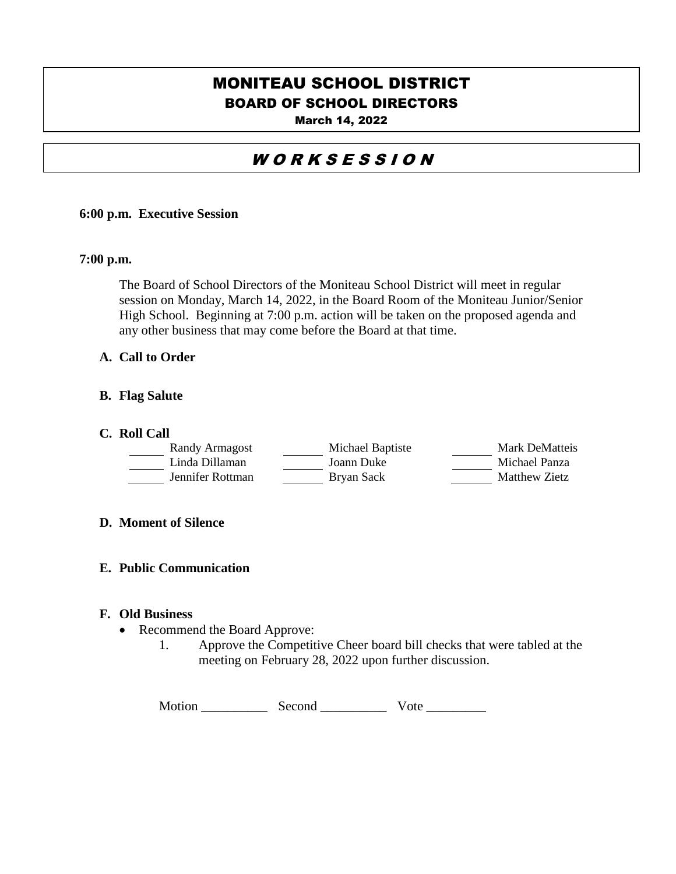# BOARD OF SCHOOL DIRECTORS MONITEAU SCHOOL DISTRICT

March 14, 2022

# WORKSESSION

## **6:00 p.m. Executive Session**

## **7:00 p.m.**

The Board of School Directors of the Moniteau School District will meet in regular session on Monday, March 14, 2022, in the Board Room of the Moniteau Junior/Senior High School. Beginning at 7:00 p.m. action will be taken on the proposed agenda and any other business that may come before the Board at that time.

# **A. Call to Order**

## **B. Flag Salute**

### **C. Roll Call**

| Randy Armagost   | Michael Baptiste | Mark DeMatteis |
|------------------|------------------|----------------|
| Linda Dillaman   | Joann Duke       | Michael Panza  |
| Jennifer Rottman | Bryan Sack       | Matthew Zietz  |

## **D. Moment of Silence**

#### **E. Public Communication**

#### **F. Old Business**

- Recommend the Board Approve:
	- 1. Approve the Competitive Cheer board bill checks that were tabled at the meeting on February 28, 2022 upon further discussion.

| Motion | Second | Vote |
|--------|--------|------|
|        |        |      |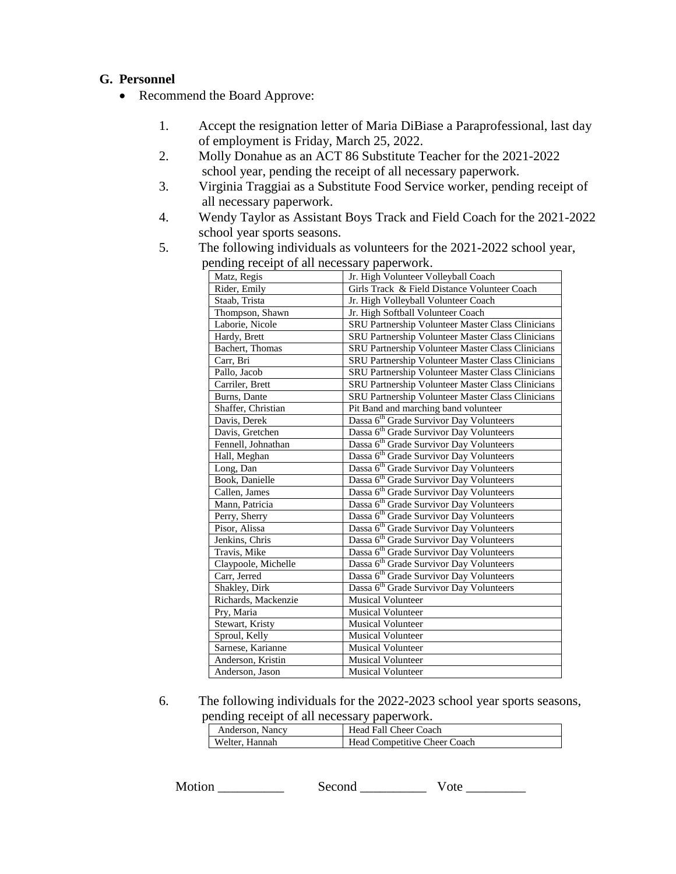# **G. Personnel**

- Recommend the Board Approve:
	- 1. Accept the resignation letter of Maria DiBiase a Paraprofessional, last day of employment is Friday, March 25, 2022.
	- 2. Molly Donahue as an ACT 86 Substitute Teacher for the 2021-2022 school year, pending the receipt of all necessary paperwork.
	- 3. Virginia Traggiai as a Substitute Food Service worker, pending receipt of all necessary paperwork.
	- 4. Wendy Taylor as Assistant Boys Track and Field Coach for the 2021-2022 school year sports seasons.
	- 5. The following individuals as volunteers for the 2021-2022 school year,

| chung receipt of an necessary paper work. |                                                          |  |  |
|-------------------------------------------|----------------------------------------------------------|--|--|
| Matz, Regis                               | Jr. High Volunteer Volleyball Coach                      |  |  |
| Rider, Emily                              | Girls Track & Field Distance Volunteer Coach             |  |  |
| Staab, Trista                             | Jr. High Volleyball Volunteer Coach                      |  |  |
| Thompson, Shawn                           | Jr. High Softball Volunteer Coach                        |  |  |
| Laborie, Nicole                           | SRU Partnership Volunteer Master Class Clinicians        |  |  |
| Hardy, Brett                              | SRU Partnership Volunteer Master Class Clinicians        |  |  |
| Bachert, Thomas                           | <b>SRU Partnership Volunteer Master Class Clinicians</b> |  |  |
| Carr, Bri                                 | SRU Partnership Volunteer Master Class Clinicians        |  |  |
| Pallo, Jacob                              | SRU Partnership Volunteer Master Class Clinicians        |  |  |
| Carriler, Brett                           | SRU Partnership Volunteer Master Class Clinicians        |  |  |
| Burns, Dante                              | SRU Partnership Volunteer Master Class Clinicians        |  |  |
| Shaffer, Christian                        | Pit Band and marching band volunteer                     |  |  |
| Davis, Derek                              | Dassa 6 <sup>th</sup> Grade Survivor Day Volunteers      |  |  |
| Davis, Gretchen                           | Dassa 6 <sup>th</sup> Grade Survivor Day Volunteers      |  |  |
| Fennell, Johnathan                        | Dassa 6 <sup>th</sup> Grade Survivor Day Volunteers      |  |  |
| Hall, Meghan                              | Dassa 6 <sup>th</sup> Grade Survivor Day Volunteers      |  |  |
| Long, Dan                                 | Dassa 6 <sup>th</sup> Grade Survivor Day Volunteers      |  |  |
| Book, Danielle                            | Dassa 6 <sup>th</sup> Grade Survivor Day Volunteers      |  |  |
| Callen, James                             | Dassa 6 <sup>th</sup> Grade Survivor Day Volunteers      |  |  |
| Mann, Patricia                            | Dassa 6 <sup>th</sup> Grade Survivor Day Volunteers      |  |  |
| Perry, Sherry                             | Dassa 6 <sup>th</sup> Grade Survivor Day Volunteers      |  |  |
| Pisor, Alissa                             | Dassa 6 <sup>th</sup> Grade Survivor Day Volunteers      |  |  |
| Jenkins, Chris                            | Dassa 6 <sup>th</sup> Grade Survivor Day Volunteers      |  |  |
| Travis, Mike                              | Dassa 6 <sup>th</sup> Grade Survivor Day Volunteers      |  |  |
| Claypoole, Michelle                       | Dassa 6 <sup>th</sup> Grade Survivor Day Volunteers      |  |  |
| Carr, Jerred                              | Dassa 6 <sup>th</sup> Grade Survivor Day Volunteers      |  |  |
| Shakley, Dirk                             | Dassa 6 <sup>th</sup> Grade Survivor Day Volunteers      |  |  |
| Richards, Mackenzie                       | <b>Musical Volunteer</b>                                 |  |  |
| Pry, Maria                                | Musical Volunteer                                        |  |  |
| Stewart, Kristy                           | <b>Musical Volunteer</b>                                 |  |  |
| Sproul, Kelly                             | <b>Musical Volunteer</b>                                 |  |  |
| Sarnese, Karianne                         | <b>Musical Volunteer</b>                                 |  |  |
| Anderson, Kristin                         | <b>Musical Volunteer</b>                                 |  |  |
| Anderson, Jason                           | <b>Musical Volunteer</b>                                 |  |  |

pending receipt of all necessary paperwork.

6. The following individuals for the 2022-2023 school year sports seasons, pending receipt of all necessary paperwork.

| Anderson, Nancy | Head Fall Cheer Coach               |
|-----------------|-------------------------------------|
| Welter, Hannah  | <b>Head Competitive Cheer Coach</b> |

| Motion | Second |  |
|--------|--------|--|
|--------|--------|--|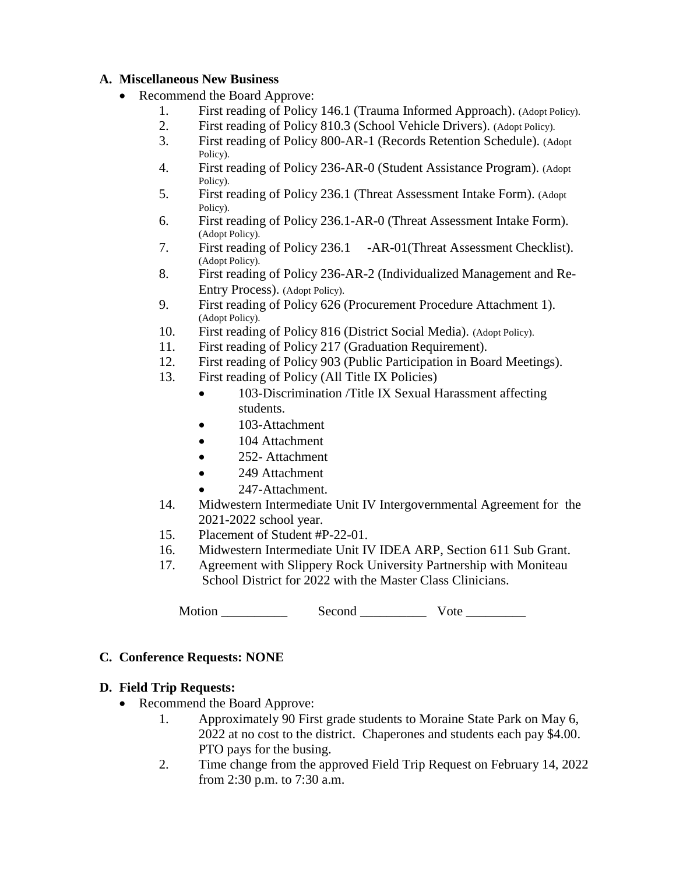# **A. Miscellaneous New Business**

- Recommend the Board Approve:
	- 1. First reading of Policy 146.1 (Trauma Informed Approach). (Adopt Policy).
	- 2. First reading of Policy 810.3 (School Vehicle Drivers). (Adopt Policy).
	- 3. First reading of Policy 800-AR-1 (Records Retention Schedule). (Adopt Policy).
	- 4. First reading of Policy 236-AR-0 (Student Assistance Program). (Adopt Policy).
	- 5. First reading of Policy 236.1 (Threat Assessment Intake Form). (Adopt Policy).
	- 6. First reading of Policy 236.1-AR-0 (Threat Assessment Intake Form). (Adopt Policy).
	- 7. First reading of Policy 236.1 -AR-01(Threat Assessment Checklist). (Adopt Policy).
	- 8. First reading of Policy 236-AR-2 (Individualized Management and Re- Entry Process). (Adopt Policy).
	- 9. First reading of Policy 626 (Procurement Procedure Attachment 1). (Adopt Policy).
	- 10. First reading of Policy 816 (District Social Media). (Adopt Policy).
	- 11. First reading of Policy 217 (Graduation Requirement).
	- 12. First reading of Policy 903 (Public Participation in Board Meetings).
	- 13. First reading of Policy (All Title IX Policies)
		- 103-Discrimination /Title IX Sexual Harassment affecting students.
		- 103-Attachment
		- 104 Attachment
		- 252- Attachment
		- 249 Attachment
		- 247-Attachment.
	- 14. Midwestern Intermediate Unit IV Intergovernmental Agreement for the 2021-2022 school year.
	- 15. Placement of Student #P-22-01.
	- 16. Midwestern Intermediate Unit IV IDEA ARP, Section 611 Sub Grant.
	- 17. Agreement with Slippery Rock University Partnership with Moniteau School District for 2022 with the Master Class Clinicians.

Motion \_\_\_\_\_\_\_\_\_\_ Second \_\_\_\_\_\_\_\_\_\_ Vote \_\_\_\_\_\_\_\_\_

# **C. Conference Requests: NONE**

# **D. Field Trip Requests:**

- Recommend the Board Approve:
	- 1. Approximately 90 First grade students to Moraine State Park on May 6, 2022 at no cost to the district. Chaperones and students each pay \$4.00. PTO pays for the busing.
	- 2. Time change from the approved Field Trip Request on February 14, 2022 from 2:30 p.m. to 7:30 a.m.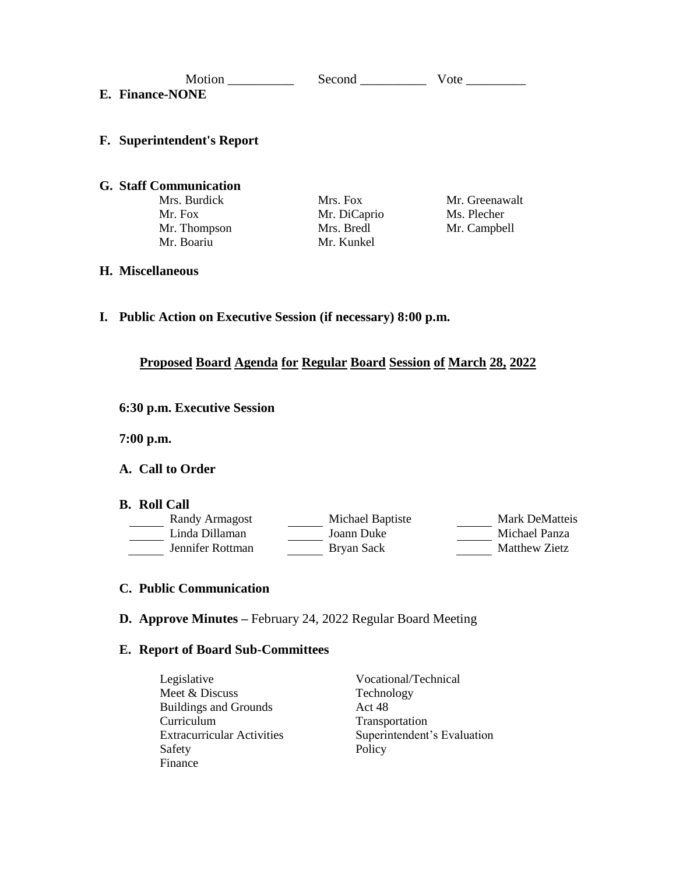| Motion<br><b>E. Finance-NONE</b>  | Second       | Vote           |
|-----------------------------------|--------------|----------------|
| <b>F.</b> Superintendent's Report |              |                |
| <b>G.</b> Staff Communication     |              |                |
| Mrs. Burdick                      | Mrs. Fox     | Mr. Greenawalt |
| Mr. Fox                           | Mr. DiCaprio | Ms. Plecher    |
| Mr. Thompson                      | Mrs. Bredl   | Mr. Campbell   |
| Mr. Boariu                        | Mr. Kunkel   |                |
| <b>H. Miscellaneous</b>           |              |                |

**I. Public Action on Executive Session (if necessary) 8:00 p.m.**

# **Proposed Board Agenda for Regular Board Session of March 28, 2022**

**6:30 p.m. Executive Session**

**7:00 p.m.**

## **A. Call to Order**

#### **B. Roll Call**

| Randy Armagost   | Michael Baptiste | <b>Mark DeMatteis</b> |
|------------------|------------------|-----------------------|
| Linda Dillaman   | Joann Duke       | Michael Panza         |
| Jennifer Rottman | Bryan Sack       | Matthew Zietz         |

## **C. Public Communication**

**D. Approve Minutes –** February 24, 2022 Regular Board Meeting

### **E. Report of Board Sub-Committees**

Legislative Vocational/Technical<br>Meet & Discuss Technology Meet & Discuss Technology Technology<br>Buildings and Grounds Act 48 Buildings and Grounds Curriculum Transportation<br>Extracurricular Activities Superintendent Safety Policy Finance

Superintendent's Evaluation